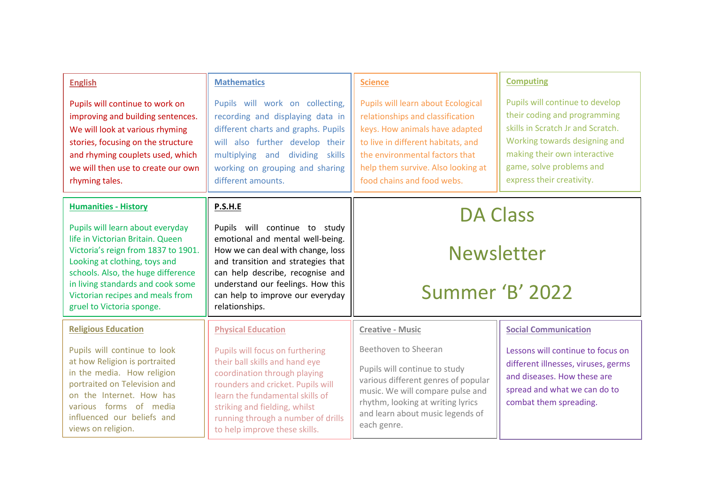| <b>English</b><br>Pupils will continue to work on<br>improving and building sentences.<br>We will look at various rhyming<br>stories, focusing on the structure<br>and rhyming couplets used, which<br>we will then use to create our own<br>rhyming tales.                                                             | <b>Mathematics</b><br>Pupils will work on collecting,<br>recording and displaying data in<br>different charts and graphs. Pupils<br>will also further develop their<br>multiplying and dividing skills<br>working on grouping and sharing<br>different amounts.                                                | <b>Science</b><br>Pupils will learn about Ecological<br>relationships and classification<br>keys. How animals have adapted<br>to live in different habitats, and<br>the environmental factors that<br>help them survive. Also looking at<br>food chains and food webs. | <b>Computing</b><br>Pupils will continue to develop<br>their coding and programming<br>skills in Scratch Jr and Scratch.<br>Working towards designing and<br>making their own interactive<br>game, solve problems and<br>express their creativity. |
|-------------------------------------------------------------------------------------------------------------------------------------------------------------------------------------------------------------------------------------------------------------------------------------------------------------------------|----------------------------------------------------------------------------------------------------------------------------------------------------------------------------------------------------------------------------------------------------------------------------------------------------------------|------------------------------------------------------------------------------------------------------------------------------------------------------------------------------------------------------------------------------------------------------------------------|----------------------------------------------------------------------------------------------------------------------------------------------------------------------------------------------------------------------------------------------------|
| <b>Humanities - History</b><br>Pupils will learn about everyday<br>life in Victorian Britain, Queen<br>Victoria's reign from 1837 to 1901.<br>Looking at clothing, toys and<br>schools. Also, the huge difference<br>in living standards and cook some<br>Victorian recipes and meals from<br>gruel to Victoria sponge. | P.S.H.E<br>Pupils will continue to study<br>emotional and mental well-being.<br>How we can deal with change, loss<br>and transition and strategies that<br>can help describe, recognise and<br>understand our feelings. How this<br>can help to improve our everyday<br>relationships.                         | <b>DA Class</b><br><b>Newsletter</b><br>Summer 'B' 2022                                                                                                                                                                                                                |                                                                                                                                                                                                                                                    |
| <b>Religious Education</b><br>Pupils will continue to look<br>at how Religion is portraited<br>in the media. How religion<br>portraited on Television and<br>on the Internet. How has<br>various forms of media<br>influenced our beliefs and<br>views on religion.                                                     | <b>Physical Education</b><br>Pupils will focus on furthering<br>their ball skills and hand eye<br>coordination through playing<br>rounders and cricket. Pupils will<br>learn the fundamental skills of<br>striking and fielding, whilst<br>running through a number of drills<br>to help improve these skills. | <b>Creative - Music</b><br>Beethoven to Sheeran<br>Pupils will continue to study<br>various different genres of popular<br>music. We will compare pulse and<br>rhythm, looking at writing lyrics<br>and learn about music legends of<br>each genre.                    | <b>Social Communication</b><br>Lessons will continue to focus on<br>different illnesses, viruses, germs<br>and diseases. How these are<br>spread and what we can do to<br>combat them spreading.                                                   |